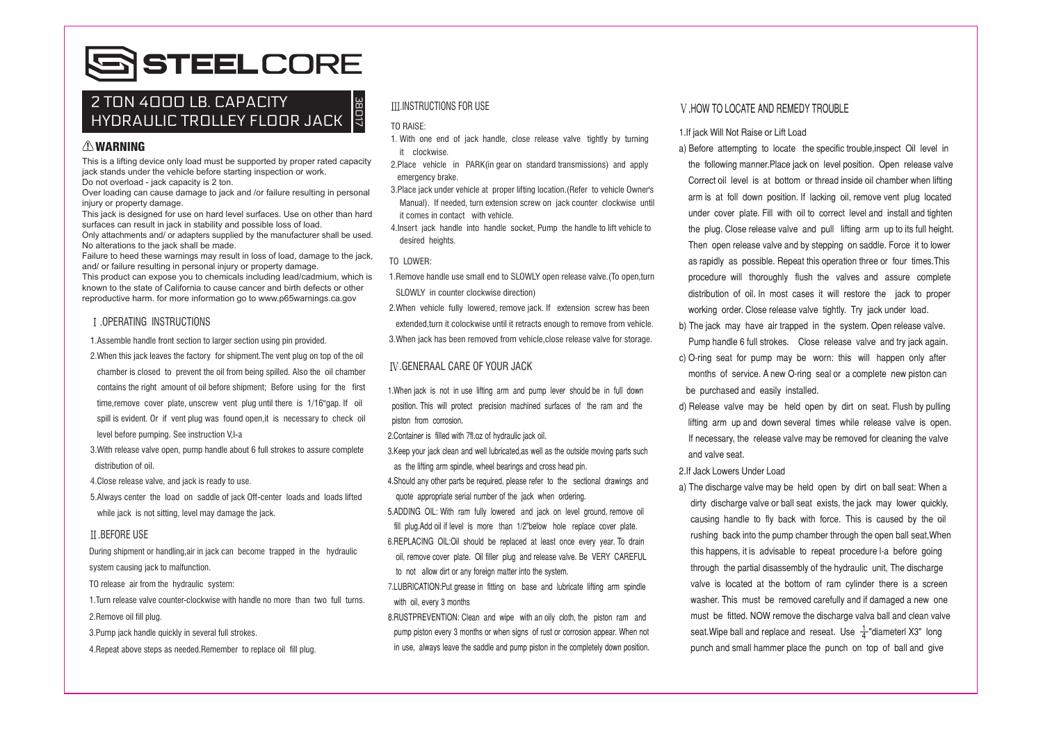# SSTEELCORE

## 2 TON 4 DOD LB. CAPACITY  $\Big|\mathbb{A}\Big|$  ill instructions for use the state and the visitor of locate and remedy trouble Z TUN 4UUU LB. CAPACITY<br>HYDRAULIC TROLLEY FLOOR JACK

#### WARNING

This is a lifting device only load must be supported by proper rated capacity jack stands under the vehicle before starting inspection or work. Do not overload - jack capacity is 2 ton.

Over loading can cause damage to jack and /or failure resulting in personal injury or property damage.

This jack is designed for use on hard level surfaces. Use on other than hard surfaces can result in jack in stability and possible loss of load.

Only attachments and/ or adapters supplied by the manufacturer shall be used. No alterations to the jack shall be made.

Failure to heed these warnings may result in loss of load, damage to the jack, and/ or failure resulting in personal injury or property damage. This product can expose you to chemicals including lead/cadmium, which is known to the state of California to cause cancer and birth defects or other

reproductive harm, for more information go to www.p65warnings.ca.gov

### .OPERATING INSTRUCTIONS

1.Assemble handle front section to larger section using pin provided.

- 2.When this jack leaves the factory for shipment.The vent plug on top of the oil chamber is closed to prevent the oil from being spilled. Also the oil chamber contains the right amount of oil before shipment; Before using for the first time, remove cover plate, unscrew vent plug until there is 1/16"gap. If oil spill is evident. Or if vent plug was found open,it is necessary to check oil level before pumping. See instruction VI-a i
- 3.With release valve open, pump handle about 6 full strokes to assure complete distribution of oil.

4.Close release valve, and jack is ready to use.

5.Always center the load on saddle of jack Off-center loads and loads lifted while jack is not sitting, level may damage the jack.

#### **II REFORE USE**

During shipment or handling,air in jack can become trapped in the hydraulic system causing jack to malfunction.

TO release air from the hydraulic system:

1.Turn release valve counter-clockwise with handle no more than two full turns. 2.Remove oil fill plug.

3.Pump jack handle quickly in several full strokes.

4.Repeat above steps as needed.Remember to replace oil fill plug.

#### .INSTRUCTIONS FOR USE

#### TO RAISE:

- 1. With one end of jack handle, close release valve tightly by turning it clockwise.
- 2.Place vehicle in PARK(in gear on standard transmissions) and apply emergency brake.
- 3.Place jack under vehicle at proper lifting location.(Refer to vehicle Owner's Manual). If needed, turn extension screw on jack counter clockwise until it comes in contact with vehicle.
- 4.Insert jack handle into handle socket, Pump the handle to lift vehicle to desired heights.

#### TO LOWER:

1.Remove handle use small end to SLOWLY open release valve.(To open,turn SLOWLY in counter clockwise direction)

2.When vehicle fully lowered, remove jack. If extension screw has been extended,turn it colockwise until it retracts enough to remove from vehicle. 3.When jack has been removed from vehicle,close release valve for storage.

#### .GENERAAL CARE OF YOUR JACK

1.When jack is not in use lifting arm and pump lever should be in full down position. This will protect precision machined surfaces of the ram and the piston from corrosion.

2.Container is filled with 7fl.oz of hydraulic jack oil.

3.Keep your jack clean and well lubricated,as well as the outside moving parts such as the lifting arm spindle, wheel bearings and cross head pin.

4.Should any other parts be required, please refer to the sectional drawings and quote appropriate serial number of the jack when ordering.

5.ADDING OIL: With ram fully lowered and jack on level ground, remove oil fill plug.Add oil if level is more than 1/2"below hole replace cover plate.

6.REPLACING OIL:Oil should be replaced at least once every year. To drain oil, remove cover plate. Oil filler plug and release valve. Be VERY CAREFUL to not allow dirt or any foreign matter into the system.

7.LUBRICATION: Put grease in fitting on base and lubricate lifting arm spindle with oil, every 3 months

8.RUSTPREVENTION: Clean and wipe with an oily cloth, the piston ram and pump piston every 3 months or when signs of rust or corrosion appear. When not in use, always leave the saddle and pump piston in the completely down position.

#### 1.If jack Will Not Raise or Lift Load

- a) Before attempting to locate the specific trouble,inspect Oil level in the following manner.Place jack on level position. Open release valve Correct oil level is at bottom or thread inside oil chamber when lifting arm is at foll down position. If lacking oil, remove vent plug located under cover plate. Fill with oil to correct level and install and tighten the plug. Close release valve and pull lifting arm up to its full height. Then open release valve and by stepping on saddle. Force it to lower as rapidly as possible. Repeat this operation three or four times.This procedure will thoroughly flush the valves and assure complete distribution of oil. In most cases it will restore the jack to proper working order. Close release valve tightly. Try jack under load.
- b) The jack may have air trapped in the system. Open release valve. Pump handle 6 full strokes. Close release valve and try jack again.
- c) O-ring seat for pump may be worn: this will happen only after months of service. A new O-ring seal or a complete new piston can be purchased and easily installed.
- d) Release valve may be held open by dirt on seat. Flush by pulling lifting arm up and down several times while release valve is open. If necessary, the release valve may be removed for cleaning the valve and valve seat.

#### 2.If Jack Lowers Under Load

a) The discharge valve may be held open by dirt on ball seat: When a dirty discharge valve or ball seat exists, the jack may lower quickly, causing handle to fly back with force. This is caused by the oil rushing back into the pump chamber through the open ball seat,When this happens, it is advisable to repeat procedure l-a before going through the partial disassembly of the hydraulic unit, The discharge valve is located at the bottom of ram cylinder there is a screen washer. This must be removed carefully and if damaged a new one must be fitted. NOW remove the discharge valva ball and clean valve seat.Wipe ball and replace and reseat. Use  $\frac{1}{4}$ "diameterl X3" long punch and small hammer place the punch on top of ball and give